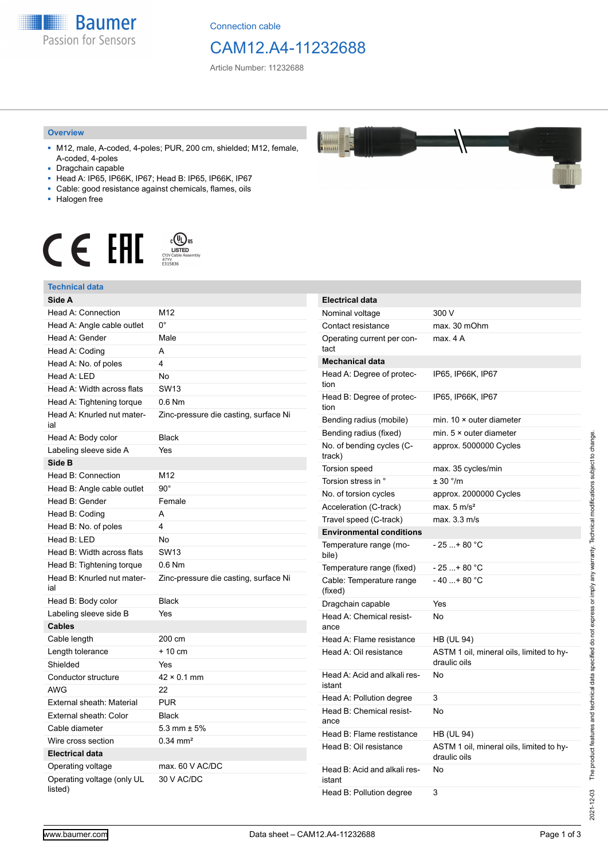

Connection cable

## CAM12.A4-11232688

Article Number: 11232688

## **Overview**

- M12, male, A-coded, 4-poles; PUR, 200 cm, shielded; M12, female, A-coded, 4-poles
- Dragchain capable
- Head A: IP65, IP66K, IP67; Head B: IP65, IP66K, IP67
- Cable: good resistance against chemicals, flames, oils
- Halogen free



#### **Technical data**

| Technical data                        |                                       |
|---------------------------------------|---------------------------------------|
| Side A                                |                                       |
| Head A: Connection                    | M12                                   |
| Head A: Angle cable outlet            | $0^{\circ}$                           |
| Head A: Gender                        | Male                                  |
| Head A: Coding                        | A                                     |
| Head A: No. of poles                  | 4                                     |
| Head A: LED                           | <b>No</b>                             |
| Head A: Width across flats            | SW13                                  |
| Head A: Tightening torque             | $0.6$ Nm                              |
| Head A: Knurled nut mater-<br>ial     | Zinc-pressure die casting, surface Ni |
| Head A: Body color                    | <b>Black</b>                          |
| Labeling sleeve side A                | Yes                                   |
| Side B                                |                                       |
| Head B: Connection                    | M12                                   |
| Head B: Angle cable outlet            | $90^\circ$                            |
| Head B: Gender                        | Female                                |
| Head B: Coding                        | A                                     |
| Head B: No. of poles                  | 4                                     |
| Head B: LED                           | No                                    |
| Head B: Width across flats            | <b>SW13</b>                           |
| Head B: Tightening torque             | $0.6$ Nm                              |
| Head B: Knurled nut mater-<br>ial     | Zinc-pressure die casting, surface Ni |
| Head B: Body color                    | <b>Black</b>                          |
| Labeling sleeve side B                | Yes                                   |
| <b>Cables</b>                         |                                       |
| Cable length                          | 200 cm                                |
| Length tolerance                      | $+10$ cm                              |
| Shielded                              | Yes                                   |
| Conductor structure                   | $42 \times 0.1$ mm                    |
| AWG                                   | 22                                    |
| External sheath: Material             | <b>PUR</b>                            |
| External sheath: Color                | <b>Black</b>                          |
| Cable diameter                        | 5.3 mm $\pm$ 5%                       |
| Wire cross section                    | $0.34$ mm <sup>2</sup>                |
| <b>Electrical data</b>                |                                       |
| Operating voltage                     | max. 60 V AC/DC                       |
| Operating voltage (only UL<br>listed) | 30 V AC/DC                            |

| <b>Electrical data</b>                 |                                                          |
|----------------------------------------|----------------------------------------------------------|
| Nominal voltage                        | 300 V                                                    |
| Contact resistance                     | max. 30 mOhm                                             |
| Operating current per con-<br>tact     | max. 4 A                                                 |
| Mechanical data                        |                                                          |
| Head A: Degree of protec-<br>tion      | IP65, IP66K, IP67                                        |
| Head B: Degree of protec-<br>tion      | IP65, IP66K, IP67                                        |
| Bending radius (mobile)                | min. $10 \times$ outer diameter                          |
| Bending radius (fixed)                 | min. $5 \times$ outer diameter                           |
| No. of bending cycles (C-<br>track)    | approx. 5000000 Cycles                                   |
| Torsion speed                          | max. 35 cycles/min                                       |
| Torsion stress in °                    | $+30$ $^{\circ}$ /m                                      |
| No. of torsion cycles                  | approx. 2000000 Cycles                                   |
| Acceleration (C-track)                 | max. $5 \text{ m/s}^2$                                   |
| Travel speed (C-track)                 | max. 3.3 m/s                                             |
| <b>Environmental conditions</b>        |                                                          |
| Temperature range (mo-<br>bile)        | - 25 + 80 °C                                             |
| Temperature range (fixed)              | - 25 + 80 °C                                             |
| Cable: Temperature range<br>(fixed)    | $-40+80 °C$                                              |
| Dragchain capable                      | Yes                                                      |
| Head A: Chemical resist-<br>ance       | No                                                       |
| Head A: Flame resistance               | HB (UL 94)                                               |
| Head A: Oil resistance                 | ASTM 1 oil, mineral oils, limited to hy-<br>draulic oils |
| Head A: Acid and alkali res-<br>istant | No                                                       |
| Head A: Pollution degree               | 3                                                        |
| Head B: Chemical resist-<br>ance       | No                                                       |
| Head B: Flame restistance              | HB (UL 94)                                               |
| Head B: Oil resistance                 | ASTM 1 oil, mineral oils, limited to hy-<br>draulic oils |
| Head B: Acid and alkali res-<br>istant | No                                                       |
| Head B: Pollution degree               | 3                                                        |

2021-12-03

2021-12-03 The product features and technical data specified do not express or imply any warranty. Technical modifications subject to change.

The product features and technical data specified do not express or imply any warranty. Technical modifications subject to change.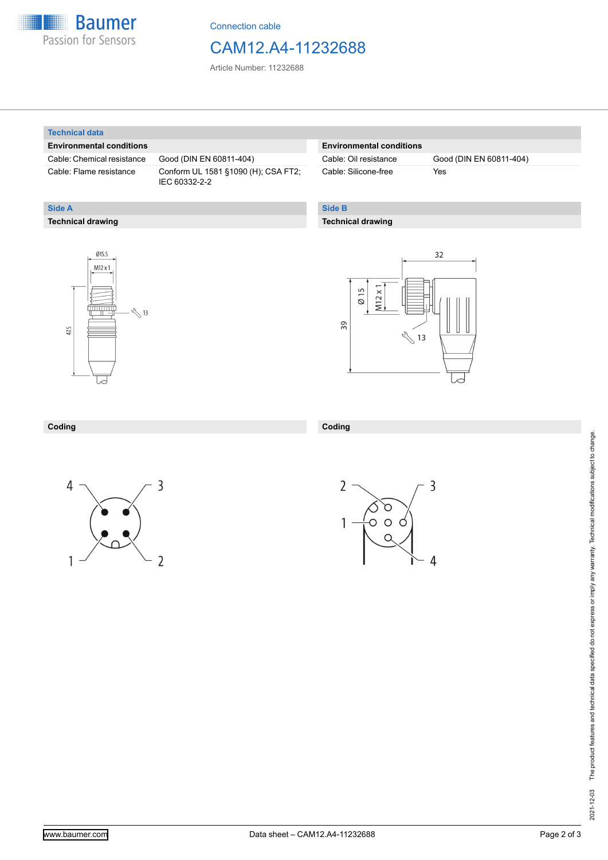

Connection cable

## CAM12.A4-11232688

Article Number: 11232688

### **Technical data**

**Technical drawing**

**Side A**

## **Environmental conditions**

Cable: Chemical resistance Good (DIN EN 60811-404)

Cable: Flame resistance Conform UL 1581 §1090 (H); CSA FT2; IEC 60332-2-2

## **Environmental conditions**

Cable: Silicone-free Yes

Cable: Oil resistance Good (DIN EN 60811-404)

## **Side B**

**Coding**

## **Technical drawing**





#### **Coding**





3

4